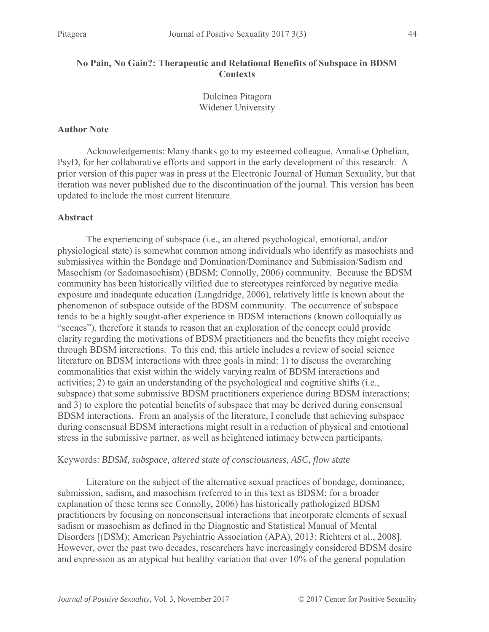## **No Pain, No Gain?: Therapeutic and Relational Benefits of Subspace in BDSM Contexts**

Dulcinea Pitagora Widener University

#### **Author Note**

Acknowledgements: Many thanks go to my esteemed colleague, Annalise Ophelian, PsyD, for her collaborative efforts and support in the early development of this research. A prior version of this paper was in press at the Electronic Journal of Human Sexuality, but that iteration was never published due to the discontinuation of the journal. This version has been updated to include the most current literature.

## **Abstract**

The experiencing of subspace (i.e., an altered psychological, emotional, and/or physiological state) is somewhat common among individuals who identify as masochists and submissives within the Bondage and Domination/Dominance and Submission/Sadism and Masochism (or Sadomasochism) (BDSM; Connolly, 2006) community. Because the BDSM community has been historically vilified due to stereotypes reinforced by negative media exposure and inadequate education (Langdridge, 2006), relatively little is known about the phenomenon of subspace outside of the BDSM community. The occurrence of subspace tends to be a highly sought-after experience in BDSM interactions (known colloquially as "scenes"), therefore it stands to reason that an exploration of the concept could provide clarity regarding the motivations of BDSM practitioners and the benefits they might receive through BDSM interactions. To this end, this article includes a review of social science literature on BDSM interactions with three goals in mind: 1) to discuss the overarching commonalities that exist within the widely varying realm of BDSM interactions and activities; 2) to gain an understanding of the psychological and cognitive shifts (i.e., subspace) that some submissive BDSM practitioners experience during BDSM interactions; and 3) to explore the potential benefits of subspace that may be derived during consensual BDSM interactions. From an analysis of the literature, I conclude that achieving subspace during consensual BDSM interactions might result in a reduction of physical and emotional stress in the submissive partner, as well as heightened intimacy between participants.

#### Keywords: *BDSM, subspace, altered state of consciousness, ASC, flow state*

Literature on the subject of the alternative sexual practices of bondage, dominance, submission, sadism, and masochism (referred to in this text as BDSM; for a broader explanation of these terms see Connolly, 2006) has historically pathologized BDSM practitioners by focusing on nonconsensual interactions that incorporate elements of sexual sadism or masochism as defined in the Diagnostic and Statistical Manual of Mental Disorders [(DSM); American Psychiatric Association (APA), 2013; Richters et al., 2008]. However, over the past two decades, researchers have increasingly considered BDSM desire and expression as an atypical but healthy variation that over 10% of the general population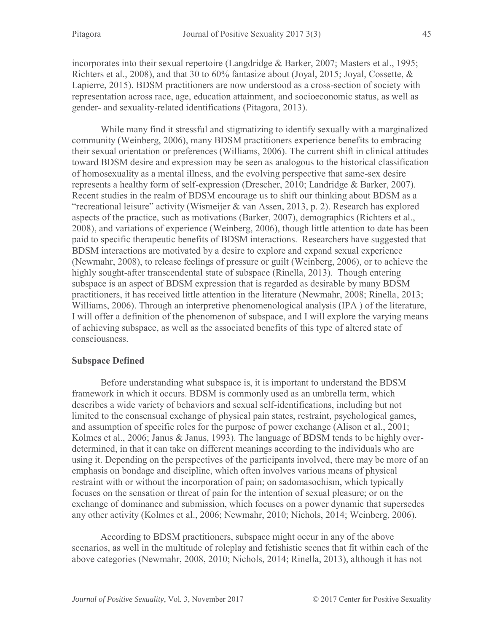incorporates into their sexual repertoire (Langdridge & Barker, 2007; Masters et al., 1995; Richters et al., 2008), and that 30 to 60% fantasize about (Joyal, 2015; Joyal, Cossette, & Lapierre, 2015). BDSM practitioners are now understood as a cross-section of society with representation across race, age, education attainment, and socioeconomic status, as well as gender- and sexuality-related identifications (Pitagora, 2013).

While many find it stressful and stigmatizing to identify sexually with a marginalized community (Weinberg, 2006), many BDSM practitioners experience benefits to embracing their sexual orientation or preferences (Williams, 2006). The current shift in clinical attitudes toward BDSM desire and expression may be seen as analogous to the historical classification of homosexuality as a mental illness, and the evolving perspective that same-sex desire represents a healthy form of self-expression (Drescher, 2010; Landridge & Barker, 2007). Recent studies in the realm of BDSM encourage us to shift our thinking about BDSM as a "recreational leisure" activity (Wismeijer & van Assen, 2013, p. 2). Research has explored aspects of the practice, such as motivations (Barker, 2007), demographics (Richters et al., 2008), and variations of experience (Weinberg, 2006), though little attention to date has been paid to specific therapeutic benefits of BDSM interactions. Researchers have suggested that BDSM interactions are motivated by a desire to explore and expand sexual experience (Newmahr, 2008), to release feelings of pressure or guilt (Weinberg, 2006), or to achieve the highly sought-after transcendental state of subspace (Rinella, 2013). Though entering subspace is an aspect of BDSM expression that is regarded as desirable by many BDSM practitioners, it has received little attention in the literature (Newmahr, 2008; Rinella, 2013; Williams, 2006). Through an interpretive phenomenological analysis (IPA ) of the literature, I will offer a definition of the phenomenon of subspace, and I will explore the varying means of achieving subspace, as well as the associated benefits of this type of altered state of consciousness.

## **Subspace Defined**

Before understanding what subspace is, it is important to understand the BDSM framework in which it occurs. BDSM is commonly used as an umbrella term, which describes a wide variety of behaviors and sexual self-identifications, including but not limited to the consensual exchange of physical pain states, restraint, psychological games, and assumption of specific roles for the purpose of power exchange (Alison et al., 2001; Kolmes et al., 2006; Janus & Janus, 1993). The language of BDSM tends to be highly overdetermined, in that it can take on different meanings according to the individuals who are using it. Depending on the perspectives of the participants involved, there may be more of an emphasis on bondage and discipline, which often involves various means of physical restraint with or without the incorporation of pain; on sadomasochism, which typically focuses on the sensation or threat of pain for the intention of sexual pleasure; or on the exchange of dominance and submission, which focuses on a power dynamic that supersedes any other activity (Kolmes et al., 2006; Newmahr, 2010; Nichols, 2014; Weinberg, 2006).

According to BDSM practitioners, subspace might occur in any of the above scenarios, as well in the multitude of roleplay and fetishistic scenes that fit within each of the above categories (Newmahr, 2008, 2010; Nichols, 2014; Rinella, 2013), although it has not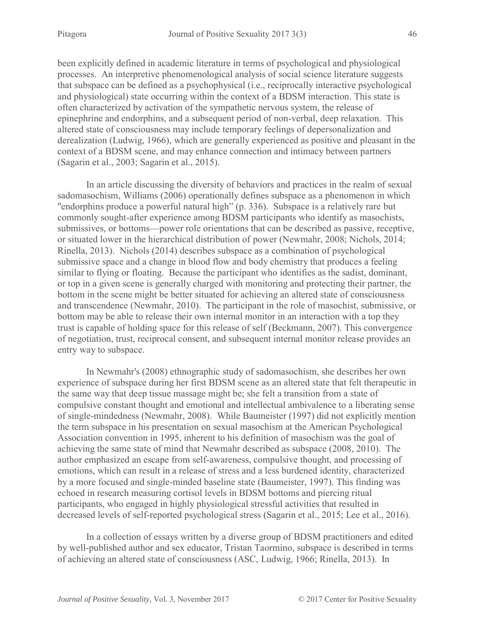been explicitly defined in academic literature in terms of psychological and physiological processes. An interpretive phenomenological analysis of social science literature suggests that subspace can be defined as a psychophysical (i.e., reciprocally interactive psychological and physiological) state occurring within the context of a BDSM interaction. This state is often characterized by activation of the sympathetic nervous system, the release of epinephrine and endorphins, and a subsequent period of non-verbal, deep relaxation. This altered state of consciousness may include temporary feelings of depersonalization and derealization (Ludwig, 1966), which are generally experienced as positive and pleasant in the context of a BDSM scene, and may enhance connection and intimacy between partners (Sagarin et al., 2003; Sagarin et al., 2015).

In an article discussing the diversity of behaviors and practices in the realm of sexual sadomasochism, Williams (2006) operationally defines subspace as a phenomenon in which "endorphins produce a powerful natural high" (p. 336). Subspace is a relatively rare but commonly sought-after experience among BDSM participants who identify as masochists, submissives, or bottoms—power role orientations that can be described as passive, receptive, or situated lower in the hierarchical distribution of power (Newmahr, 2008; Nichols, 2014; Rinella, 2013). Nichols (2014) describes subspace as a combination of psychological submissive space and a change in blood flow and body chemistry that produces a feeling similar to flying or floating. Because the participant who identifies as the sadist, dominant, or top in a given scene is generally charged with monitoring and protecting their partner, the bottom in the scene might be better situated for achieving an altered state of consciousness and transcendence (Newmahr, 2010). The participant in the role of masochist, submissive, or bottom may be able to release their own internal monitor in an interaction with a top they trust is capable of holding space for this release of self (Beckmann, 2007). This convergence of negotiation, trust, reciprocal consent, and subsequent internal monitor release provides an entry way to subspace.

In Newmahr's (2008) ethnographic study of sadomasochism, she describes her own experience of subspace during her first BDSM scene as an altered state that felt therapeutic in the same way that deep tissue massage might be; she felt a transition from a state of compulsive constant thought and emotional and intellectual ambivalence to a liberating sense of single-mindedness (Newmahr, 2008). While Baumeister (1997) did not explicitly mention the term subspace in his presentation on sexual masochism at the American Psychological Association convention in 1995, inherent to his definition of masochism was the goal of achieving the same state of mind that Newmahr described as subspace (2008, 2010). The author emphasized an escape from self-awareness, compulsive thought, and processing of emotions, which can result in a release of stress and a less burdened identity, characterized by a more focused and single-minded baseline state (Baumeister, 1997). This finding was echoed in research measuring cortisol levels in BDSM bottoms and piercing ritual participants, who engaged in highly physiological stressful activities that resulted in decreased levels of self-reported psychological stress (Sagarin et al., 2015; Lee et al., 2016).

In a collection of essays written by a diverse group of BDSM practitioners and edited by well-published author and sex educator, Tristan Taormino, subspace is described in terms of achieving an altered state of consciousness (ASC, Ludwig, 1966; Rinella, 2013). In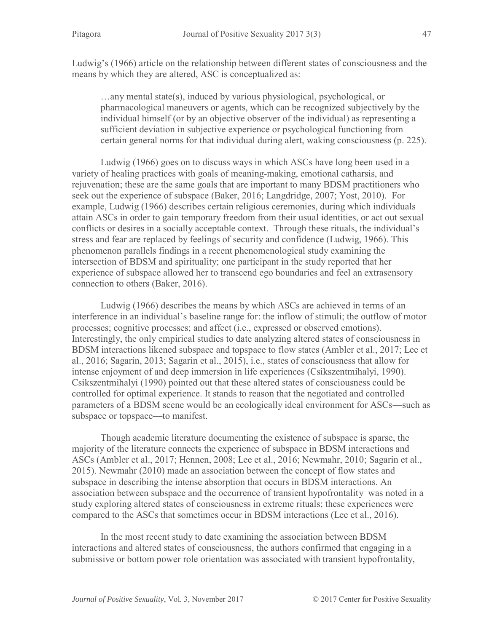Ludwig's (1966) article on the relationship between different states of consciousness and the means by which they are altered, ASC is conceptualized as:

…any mental state(s), induced by various physiological, psychological, or pharmacological maneuvers or agents, which can be recognized subjectively by the individual himself (or by an objective observer of the individual) as representing a sufficient deviation in subjective experience or psychological functioning from certain general norms for that individual during alert, waking consciousness (p. 225).

Ludwig (1966) goes on to discuss ways in which ASCs have long been used in a variety of healing practices with goals of meaning-making, emotional catharsis, and rejuvenation; these are the same goals that are important to many BDSM practitioners who seek out the experience of subspace (Baker, 2016; Langdridge, 2007; Yost, 2010). For example, Ludwig (1966) describes certain religious ceremonies, during which individuals attain ASCs in order to gain temporary freedom from their usual identities, or act out sexual conflicts or desires in a socially acceptable context. Through these rituals, the individual's stress and fear are replaced by feelings of security and confidence (Ludwig, 1966). This phenomenon parallels findings in a recent phenomenological study examining the intersection of BDSM and spirituality; one participant in the study reported that her experience of subspace allowed her to transcend ego boundaries and feel an extrasensory connection to others (Baker, 2016).

Ludwig (1966) describes the means by which ASCs are achieved in terms of an interference in an individual's baseline range for: the inflow of stimuli; the outflow of motor processes; cognitive processes; and affect (i.e., expressed or observed emotions). Interestingly, the only empirical studies to date analyzing altered states of consciousness in BDSM interactions likened subspace and topspace to flow states (Ambler et al., 2017; Lee et al., 2016; Sagarin, 2013; Sagarin et al., 2015), i.e., states of consciousness that allow for intense enjoyment of and deep immersion in life experiences (Csikszentmihalyi, 1990). Csikszentmihalyi (1990) pointed out that these altered states of consciousness could be controlled for optimal experience. It stands to reason that the negotiated and controlled parameters of a BDSM scene would be an ecologically ideal environment for ASCs—such as subspace or topspace—to manifest.

Though academic literature documenting the existence of subspace is sparse, the majority of the literature connects the experience of subspace in BDSM interactions and ASCs (Ambler et al., 2017; Hennen, 2008; Lee et al., 2016; Newmahr, 2010; Sagarin et al., 2015). Newmahr (2010) made an association between the concept of flow states and subspace in describing the intense absorption that occurs in BDSM interactions. An association between subspace and the occurrence of transient hypofrontality was noted in a study exploring altered states of consciousness in extreme rituals; these experiences were compared to the ASCs that sometimes occur in BDSM interactions (Lee et al., 2016).

In the most recent study to date examining the association between BDSM interactions and altered states of consciousness, the authors confirmed that engaging in a submissive or bottom power role orientation was associated with transient hypofrontality,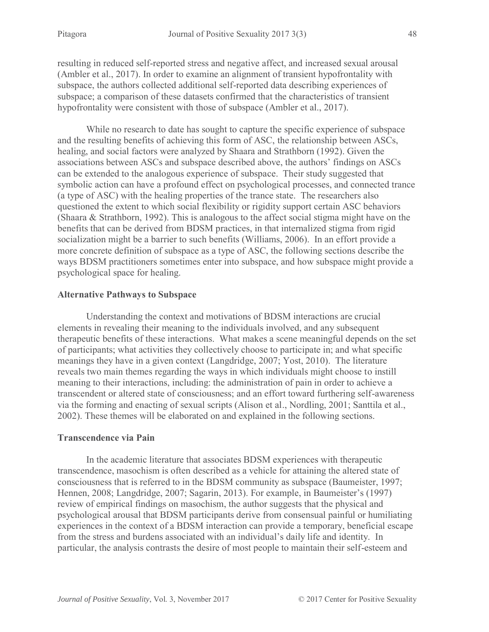resulting in reduced self-reported stress and negative affect, and increased sexual arousal (Ambler et al., 2017). In order to examine an alignment of transient hypofrontality with subspace, the authors collected additional self-reported data describing experiences of subspace; a comparison of these datasets confirmed that the characteristics of transient hypofrontality were consistent with those of subspace (Ambler et al., 2017).

While no research to date has sought to capture the specific experience of subspace and the resulting benefits of achieving this form of ASC, the relationship between ASCs, healing, and social factors were analyzed by Shaara and Strathborn (1992). Given the associations between ASCs and subspace described above, the authors' findings on ASCs can be extended to the analogous experience of subspace. Their study suggested that symbolic action can have a profound effect on psychological processes, and connected trance (a type of ASC) with the healing properties of the trance state. The researchers also questioned the extent to which social flexibility or rigidity support certain ASC behaviors (Shaara & Strathborn, 1992). This is analogous to the affect social stigma might have on the benefits that can be derived from BDSM practices, in that internalized stigma from rigid socialization might be a barrier to such benefits (Williams, 2006). In an effort provide a more concrete definition of subspace as a type of ASC, the following sections describe the ways BDSM practitioners sometimes enter into subspace, and how subspace might provide a psychological space for healing.

## **Alternative Pathways to Subspace**

Understanding the context and motivations of BDSM interactions are crucial elements in revealing their meaning to the individuals involved, and any subsequent therapeutic benefits of these interactions. What makes a scene meaningful depends on the set of participants; what activities they collectively choose to participate in; and what specific meanings they have in a given context (Langdridge, 2007; Yost, 2010). The literature reveals two main themes regarding the ways in which individuals might choose to instill meaning to their interactions, including: the administration of pain in order to achieve a transcendent or altered state of consciousness; and an effort toward furthering self-awareness via the forming and enacting of sexual scripts (Alison et al., Nordling, 2001; Santtila et al., 2002). These themes will be elaborated on and explained in the following sections.

## **Transcendence via Pain**

In the academic literature that associates BDSM experiences with therapeutic transcendence, masochism is often described as a vehicle for attaining the altered state of consciousness that is referred to in the BDSM community as subspace (Baumeister, 1997; Hennen, 2008; Langdridge, 2007; Sagarin, 2013). For example, in Baumeister's (1997) review of empirical findings on masochism, the author suggests that the physical and psychological arousal that BDSM participants derive from consensual painful or humiliating experiences in the context of a BDSM interaction can provide a temporary, beneficial escape from the stress and burdens associated with an individual's daily life and identity. In particular, the analysis contrasts the desire of most people to maintain their self-esteem and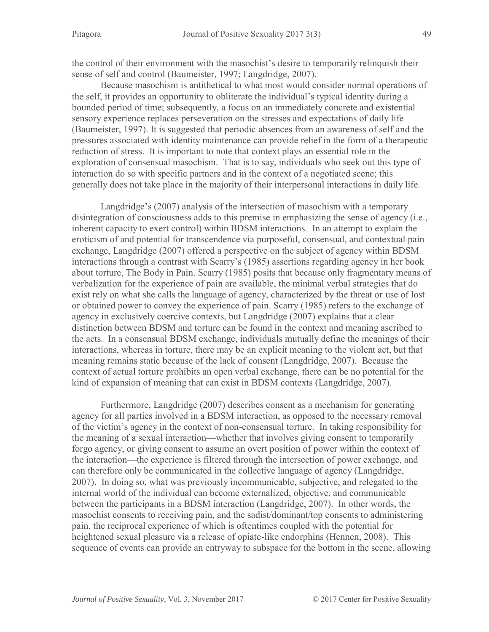the control of their environment with the masochist's desire to temporarily relinquish their sense of self and control (Baumeister, 1997; Langdridge, 2007).

Because masochism is antithetical to what most would consider normal operations of the self, it provides an opportunity to obliterate the individual's typical identity during a bounded period of time; subsequently, a focus on an immediately concrete and existential sensory experience replaces perseveration on the stresses and expectations of daily life (Baumeister, 1997). It is suggested that periodic absences from an awareness of self and the pressures associated with identity maintenance can provide relief in the form of a therapeutic reduction of stress. It is important to note that context plays an essential role in the exploration of consensual masochism. That is to say, individuals who seek out this type of interaction do so with specific partners and in the context of a negotiated scene; this generally does not take place in the majority of their interpersonal interactions in daily life.

Langdridge's (2007) analysis of the intersection of masochism with a temporary disintegration of consciousness adds to this premise in emphasizing the sense of agency (i.e., inherent capacity to exert control) within BDSM interactions. In an attempt to explain the eroticism of and potential for transcendence via purposeful, consensual, and contextual pain exchange, Langdridge (2007) offered a perspective on the subject of agency within BDSM interactions through a contrast with Scarry's (1985) assertions regarding agency in her book about torture, The Body in Pain. Scarry (1985) posits that because only fragmentary means of verbalization for the experience of pain are available, the minimal verbal strategies that do exist rely on what she calls the language of agency, characterized by the threat or use of lost or obtained power to convey the experience of pain. Scarry (1985) refers to the exchange of agency in exclusively coercive contexts, but Langdridge (2007) explains that a clear distinction between BDSM and torture can be found in the context and meaning ascribed to the acts. In a consensual BDSM exchange, individuals mutually define the meanings of their interactions, whereas in torture, there may be an explicit meaning to the violent act, but that meaning remains static because of the lack of consent (Langdridge, 2007). Because the context of actual torture prohibits an open verbal exchange, there can be no potential for the kind of expansion of meaning that can exist in BDSM contexts (Langdridge, 2007).

Furthermore, Langdridge (2007) describes consent as a mechanism for generating agency for all parties involved in a BDSM interaction, as opposed to the necessary removal of the victim's agency in the context of non-consensual torture. In taking responsibility for the meaning of a sexual interaction—whether that involves giving consent to temporarily forgo agency, or giving consent to assume an overt position of power within the context of the interaction—the experience is filtered through the intersection of power exchange, and can therefore only be communicated in the collective language of agency (Langdridge, 2007). In doing so, what was previously incommunicable, subjective, and relegated to the internal world of the individual can become externalized, objective, and communicable between the participants in a BDSM interaction (Langdridge, 2007). In other words, the masochist consents to receiving pain, and the sadist/dominant/top consents to administering pain, the reciprocal experience of which is oftentimes coupled with the potential for heightened sexual pleasure via a release of opiate-like endorphins (Hennen, 2008). This sequence of events can provide an entryway to subspace for the bottom in the scene, allowing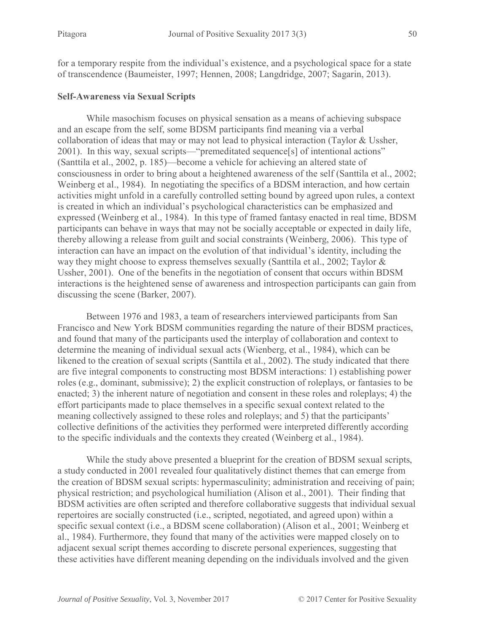for a temporary respite from the individual's existence, and a psychological space for a state of transcendence (Baumeister, 1997; Hennen, 2008; Langdridge, 2007; Sagarin, 2013).

#### **Self-Awareness via Sexual Scripts**

While masochism focuses on physical sensation as a means of achieving subspace and an escape from the self, some BDSM participants find meaning via a verbal collaboration of ideas that may or may not lead to physical interaction (Taylor & Ussher, 2001). In this way, sexual scripts—"premeditated sequence[s] of intentional actions" (Santtila et al., 2002, p. 185)—become a vehicle for achieving an altered state of consciousness in order to bring about a heightened awareness of the self (Santtila et al., 2002; Weinberg et al., 1984). In negotiating the specifics of a BDSM interaction, and how certain activities might unfold in a carefully controlled setting bound by agreed upon rules, a context is created in which an individual's psychological characteristics can be emphasized and expressed (Weinberg et al., 1984). In this type of framed fantasy enacted in real time, BDSM participants can behave in ways that may not be socially acceptable or expected in daily life, thereby allowing a release from guilt and social constraints (Weinberg, 2006). This type of interaction can have an impact on the evolution of that individual's identity, including the way they might choose to express themselves sexually (Santtila et al., 2002; Taylor & Ussher, 2001). One of the benefits in the negotiation of consent that occurs within BDSM interactions is the heightened sense of awareness and introspection participants can gain from discussing the scene (Barker, 2007).

Between 1976 and 1983, a team of researchers interviewed participants from San Francisco and New York BDSM communities regarding the nature of their BDSM practices, and found that many of the participants used the interplay of collaboration and context to determine the meaning of individual sexual acts (Wienberg, et al., 1984), which can be likened to the creation of sexual scripts (Santtila et al., 2002). The study indicated that there are five integral components to constructing most BDSM interactions: 1) establishing power roles (e.g., dominant, submissive); 2) the explicit construction of roleplays, or fantasies to be enacted; 3) the inherent nature of negotiation and consent in these roles and roleplays; 4) the effort participants made to place themselves in a specific sexual context related to the meaning collectively assigned to these roles and roleplays; and 5) that the participants' collective definitions of the activities they performed were interpreted differently according to the specific individuals and the contexts they created (Weinberg et al., 1984).

While the study above presented a blueprint for the creation of BDSM sexual scripts, a study conducted in 2001 revealed four qualitatively distinct themes that can emerge from the creation of BDSM sexual scripts: hypermasculinity; administration and receiving of pain; physical restriction; and psychological humiliation (Alison et al., 2001). Their finding that BDSM activities are often scripted and therefore collaborative suggests that individual sexual repertoires are socially constructed (i.e., scripted, negotiated, and agreed upon) within a specific sexual context (i.e., a BDSM scene collaboration) (Alison et al., 2001; Weinberg et al., 1984). Furthermore, they found that many of the activities were mapped closely on to adjacent sexual script themes according to discrete personal experiences, suggesting that these activities have different meaning depending on the individuals involved and the given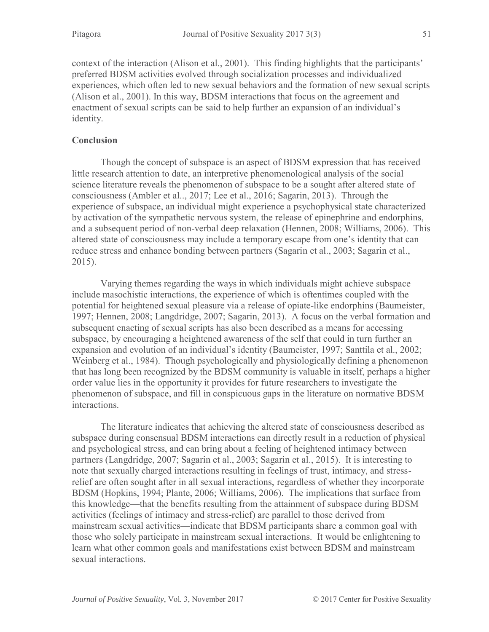context of the interaction (Alison et al., 2001). This finding highlights that the participants' preferred BDSM activities evolved through socialization processes and individualized experiences, which often led to new sexual behaviors and the formation of new sexual scripts (Alison et al., 2001). In this way, BDSM interactions that focus on the agreement and enactment of sexual scripts can be said to help further an expansion of an individual's identity.

# **Conclusion**

Though the concept of subspace is an aspect of BDSM expression that has received little research attention to date, an interpretive phenomenological analysis of the social science literature reveals the phenomenon of subspace to be a sought after altered state of consciousness (Ambler et al.., 2017; Lee et al., 2016; Sagarin, 2013). Through the experience of subspace, an individual might experience a psychophysical state characterized by activation of the sympathetic nervous system, the release of epinephrine and endorphins, and a subsequent period of non-verbal deep relaxation (Hennen, 2008; Williams, 2006). This altered state of consciousness may include a temporary escape from one's identity that can reduce stress and enhance bonding between partners (Sagarin et al., 2003; Sagarin et al., 2015).

Varying themes regarding the ways in which individuals might achieve subspace include masochistic interactions, the experience of which is oftentimes coupled with the potential for heightened sexual pleasure via a release of opiate-like endorphins (Baumeister, 1997; Hennen, 2008; Langdridge, 2007; Sagarin, 2013). A focus on the verbal formation and subsequent enacting of sexual scripts has also been described as a means for accessing subspace, by encouraging a heightened awareness of the self that could in turn further an expansion and evolution of an individual's identity (Baumeister, 1997; Santtila et al., 2002; Weinberg et al., 1984). Though psychologically and physiologically defining a phenomenon that has long been recognized by the BDSM community is valuable in itself, perhaps a higher order value lies in the opportunity it provides for future researchers to investigate the phenomenon of subspace, and fill in conspicuous gaps in the literature on normative BDSM interactions.

The literature indicates that achieving the altered state of consciousness described as subspace during consensual BDSM interactions can directly result in a reduction of physical and psychological stress, and can bring about a feeling of heightened intimacy between partners (Langdridge, 2007; Sagarin et al., 2003; Sagarin et al., 2015). It is interesting to note that sexually charged interactions resulting in feelings of trust, intimacy, and stressrelief are often sought after in all sexual interactions, regardless of whether they incorporate BDSM (Hopkins, 1994; Plante, 2006; Williams, 2006). The implications that surface from this knowledge—that the benefits resulting from the attainment of subspace during BDSM activities (feelings of intimacy and stress-relief) are parallel to those derived from mainstream sexual activities—indicate that BDSM participants share a common goal with those who solely participate in mainstream sexual interactions. It would be enlightening to learn what other common goals and manifestations exist between BDSM and mainstream sexual interactions.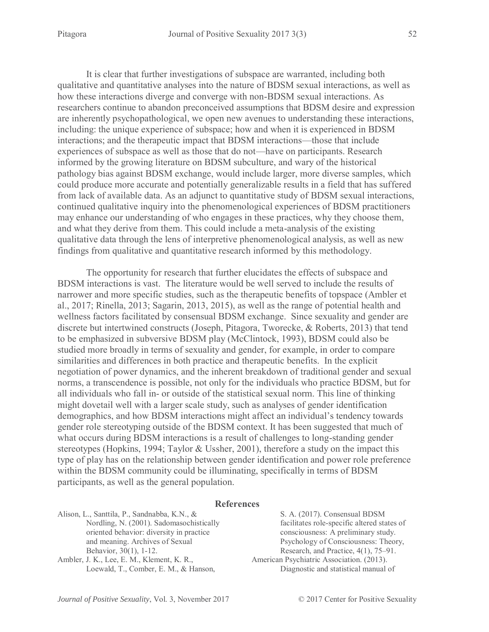It is clear that further investigations of subspace are warranted, including both qualitative and quantitative analyses into the nature of BDSM sexual interactions, as well as how these interactions diverge and converge with non-BDSM sexual interactions. As researchers continue to abandon preconceived assumptions that BDSM desire and expression are inherently psychopathological, we open new avenues to understanding these interactions, including: the unique experience of subspace; how and when it is experienced in BDSM interactions; and the therapeutic impact that BDSM interactions—those that include experiences of subspace as well as those that do not—have on participants. Research informed by the growing literature on BDSM subculture, and wary of the historical pathology bias against BDSM exchange, would include larger, more diverse samples, which could produce more accurate and potentially generalizable results in a field that has suffered from lack of available data. As an adjunct to quantitative study of BDSM sexual interactions, continued qualitative inquiry into the phenomenological experiences of BDSM practitioners may enhance our understanding of who engages in these practices, why they choose them, and what they derive from them. This could include a meta-analysis of the existing qualitative data through the lens of interpretive phenomenological analysis, as well as new findings from qualitative and quantitative research informed by this methodology.

The opportunity for research that further elucidates the effects of subspace and BDSM interactions is vast. The literature would be well served to include the results of narrower and more specific studies, such as the therapeutic benefits of topspace (Ambler et al., 2017; Rinella, 2013; Sagarin, 2013, 2015), as well as the range of potential health and wellness factors facilitated by consensual BDSM exchange. Since sexuality and gender are discrete but intertwined constructs (Joseph, Pitagora, Tworecke, & Roberts, 2013) that tend to be emphasized in subversive BDSM play (McClintock, 1993), BDSM could also be studied more broadly in terms of sexuality and gender, for example, in order to compare similarities and differences in both practice and therapeutic benefits. In the explicit negotiation of power dynamics, and the inherent breakdown of traditional gender and sexual norms, a transcendence is possible, not only for the individuals who practice BDSM, but for all individuals who fall in- or outside of the statistical sexual norm. This line of thinking might dovetail well with a larger scale study, such as analyses of gender identification demographics, and how BDSM interactions might affect an individual's tendency towards gender role stereotyping outside of the BDSM context. It has been suggested that much of what occurs during BDSM interactions is a result of challenges to long-standing gender stereotypes (Hopkins, 1994; Taylor & Ussher, 2001), therefore a study on the impact this type of play has on the relationship between gender identification and power role preference within the BDSM community could be illuminating, specifically in terms of BDSM participants, as well as the general population.

#### **References**

Alison, L., Santtila, P., Sandnabba, K.N., & Nordling, N. (2001). Sadomasochistically oriented behavior: diversity in practice and meaning. Archives of Sexual Behavior, 30(1), 1-12.

Ambler, J. K., Lee, E. M., Klement, K. R., Loewald, T., Comber, E. M., & Hanson,

S. A. (2017). Consensual BDSM facilitates role-specific altered states of consciousness: A preliminary study. Psychology of Consciousness: Theory, Research, and Practice, 4(1), 75–91. American Psychiatric Association. (2013). Diagnostic and statistical manual of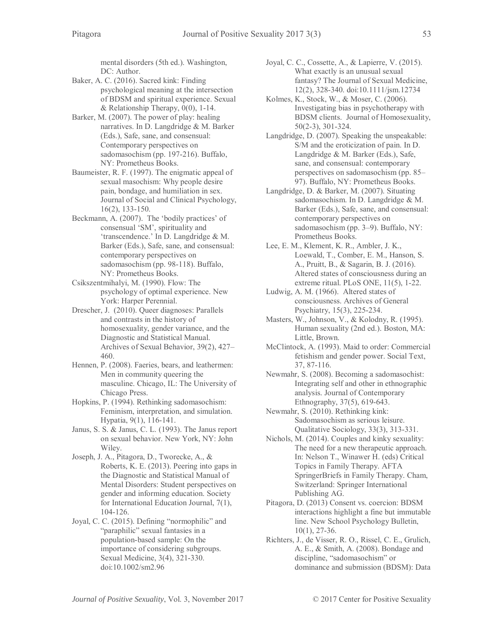mental disorders (5th ed.). Washington, DC: Author.

- Baker, A. C. (2016). Sacred kink: Finding psychological meaning at the intersection of BDSM and spiritual experience. Sexual & Relationship Therapy, 0(0), 1-14.
- Barker, M. (2007). The power of play: healing narratives. In D. Langdridge & M. Barker (Eds.), Safe, sane, and consensual: Contemporary perspectives on sadomasochism (pp. 197-216). Buffalo, NY: Prometheus Books.
- Baumeister, R. F. (1997). The enigmatic appeal of sexual masochism: Why people desire pain, bondage, and humiliation in sex. Journal of Social and Clinical Psychology, 16(2), 133-150.
- Beckmann, A. (2007). The 'bodily practices' of consensual 'SM', spirituality and 'transcendence.' In D. Langdridge & M. Barker (Eds.), Safe, sane, and consensual: contemporary perspectives on sadomasochism (pp. 98-118). Buffalo, NY: Prometheus Books.
- Csikszentmihalyi, M. (1990). Flow: The psychology of optimal experience. New York: Harper Perennial.
- Drescher, J. (2010). Queer diagnoses: Parallels and contrasts in the history of homosexuality, gender variance, and the Diagnostic and Statistical Manual. Archives of Sexual Behavior, 39(2), 427– 460.
- Hennen, P. (2008). Faeries, bears, and leathermen: Men in community queering the masculine. Chicago, IL: The University of Chicago Press.
- Hopkins, P. (1994). Rethinking sadomasochism: Feminism, interpretation, and simulation. Hypatia, 9(1), 116-141.
- Janus, S. S. & Janus, C. L. (1993). The Janus report on sexual behavior. New York, NY: John Wiley.
- Joseph, J. A., Pitagora, D., Tworecke, A., & Roberts, K. E. (2013). Peering into gaps in the Diagnostic and Statistical Manual of Mental Disorders: Student perspectives on gender and informing education. Society for International Education Journal, 7(1), 104-126.
- Joyal, C. C. (2015). Defining "normophilic" and "paraphilic" sexual fantasies in a population-based sample: On the importance of considering subgroups. Sexual Medicine, 3(4), 321-330. doi:10.1002/sm2.96
- Joyal, C. C., Cossette, A., & Lapierre, V. (2015). What exactly is an unusual sexual fantasy? The Journal of Sexual Medicine, 12(2), 328-340. doi:10.1111/jsm.12734
- Kolmes, K., Stock, W., & Moser, C. (2006). Investigating bias in psychotherapy with BDSM clients. Journal of Homosexuality, 50(2-3), 301-324.
- Langdridge, D. (2007). Speaking the unspeakable: S/M and the eroticization of pain. In D. Langdridge & M. Barker (Eds.), Safe, sane, and consensual: contemporary perspectives on sadomasochism (pp. 85– 97). Buffalo, NY: Prometheus Books.
- Langdridge, D. & Barker, M. (2007). Situating sadomasochism. In D. Langdridge & M. Barker (Eds.), Safe, sane, and consensual: contemporary perspectives on sadomasochism (pp. 3–9). Buffalo, NY: Prometheus Books.
- Lee, E. M., Klement, K. R., Ambler, J. K., Loewald, T., Comber, E. M., Hanson, S. A., Pruitt, B., & Sagarin, B. J. (2016). Altered states of consciousness during an extreme ritual. PLoS ONE, 11(5), 1-22.
- Ludwig, A. M. (1966). Altered states of consciousness. Archives of General Psychiatry, 15(3), 225-234.
- Masters, W., Johnson, V., & Kolodny, R. (1995). Human sexuality (2nd ed.). Boston, MA: Little, Brown.
- McClintock, A. (1993). Maid to order: Commercial fetishism and gender power. Social Text, 37, 87-116.
- Newmahr, S. (2008). Becoming a sadomasochist: Integrating self and other in ethnographic analysis. Journal of Contemporary Ethnography, 37(5), 619-643.
- Newmahr, S. (2010). Rethinking kink: Sadomasochism as serious leisure. Qualitative Sociology, 33(3), 313-331.
- Nichols, M. (2014). Couples and kinky sexuality: The need for a new therapeutic approach. In: Nelson T., Winawer H. (eds) Critical Topics in Family Therapy. AFTA SpringerBriefs in Family Therapy. Cham, Switzerland: Springer International Publishing AG.
- Pitagora, D. (2013) Consent vs. coercion: BDSM interactions highlight a fine but immutable line. New School Psychology Bulletin, 10(1), 27-36.
- Richters, J., de Visser, R. O., Rissel, C. E., Grulich, A. E., & Smith, A. (2008). Bondage and discipline, "sadomasochism" or dominance and submission (BDSM): Data